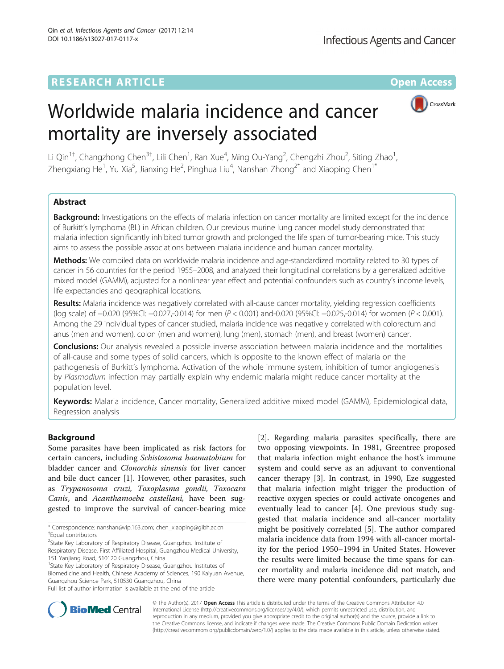## **RESEARCH ARTICLE Example 2014 12:30 The Contract of Contract ACCESS**

CrossMark

# Worldwide malaria incidence and cancer mortality are inversely associated

Li Qin<sup>1†</sup>, Changzhong Chen<sup>3†</sup>, Lili Chen<sup>1</sup>, Ran Xue<sup>4</sup>, Ming Ou-Yang<sup>2</sup>, Chengzhi Zhou<sup>2</sup>, Siting Zhao<sup>1</sup> , Zhengxiang He<sup>1</sup>, Yu Xia<sup>5</sup>, Jianxing He<sup>2</sup>, Pinghua Liu<sup>4</sup>, Nanshan Zhong<sup>2\*</sup> and Xiaoping Chen<sup>1\*</sup>

## Abstract

Background: Investigations on the effects of malaria infection on cancer mortality are limited except for the incidence of Burkitt's lymphoma (BL) in African children. Our previous murine lung cancer model study demonstrated that malaria infection significantly inhibited tumor growth and prolonged the life span of tumor-bearing mice. This study aims to assess the possible associations between malaria incidence and human cancer mortality.

Methods: We compiled data on worldwide malaria incidence and age-standardized mortality related to 30 types of cancer in 56 countries for the period 1955–2008, and analyzed their longitudinal correlations by a generalized additive mixed model (GAMM), adjusted for a nonlinear year effect and potential confounders such as country's income levels, life expectancies and geographical locations.

Results: Malaria incidence was negatively correlated with all-cause cancer mortality, yielding regression coefficients (log scale) of −0.020 (95%CI: −0.027,-0.014) for men (P < 0.001) and-0.020 (95%CI: −0.025,-0.014) for women (P < 0.001). Among the 29 individual types of cancer studied, malaria incidence was negatively correlated with colorectum and anus (men and women), colon (men and women), lung (men), stomach (men), and breast (women) cancer.

Conclusions: Our analysis revealed a possible inverse association between malaria incidence and the mortalities of all-cause and some types of solid cancers, which is opposite to the known effect of malaria on the pathogenesis of Burkitt's lymphoma. Activation of the whole immune system, inhibition of tumor angiogenesis by Plasmodium infection may partially explain why endemic malaria might reduce cancer mortality at the population level.

Keywords: Malaria incidence, Cancer mortality, Generalized additive mixed model (GAMM), Epidemiological data, Regression analysis

## Background

Some parasites have been implicated as risk factors for certain cancers, including Schistosoma haematobium for bladder cancer and Clonorchis sinensis for liver cancer and bile duct cancer [\[1\]](#page-7-0). However, other parasites, such as Trypanosoma cruzi, Toxoplasma gondii, Toxocara Canis, and Acanthamoeba castellani, have been suggested to improve the survival of cancer-bearing mice

\* Correspondence: [nanshan@vip.163.com;](mailto:nanshan@vip.163.com) [chen\\_xiaoping@gibh.ac.cn](mailto:chen_xiaoping@gibh.ac.cn) † Equal contributors

<sup>2</sup>State Key Laboratory of Respiratory Disease, Guangzhou Institute of Respiratory Disease, First Affiliated Hospital, Guangzhou Medical University, 151 Yanjiang Road, 510120 Guangzhou, China

<sup>1</sup>State Key Laboratory of Respiratory Disease, Guangzhou Institutes of Biomedicine and Health, Chinese Academy of Sciences, 190 Kaiyuan Avenue, Guangzhou Science Park, 510530 Guangzhou, China Full list of author information is available at the end of the article



© The Author(s). 2017 **Open Access** This article is distributed under the terms of the Creative Commons Attribution 4.0 International License [\(http://creativecommons.org/licenses/by/4.0/](http://creativecommons.org/licenses/by/4.0/)), which permits unrestricted use, distribution, and reproduction in any medium, provided you give appropriate credit to the original author(s) and the source, provide a link to the Creative Commons license, and indicate if changes were made. The Creative Commons Public Domain Dedication waiver [\(http://creativecommons.org/publicdomain/zero/1.0/](http://creativecommons.org/publicdomain/zero/1.0/)) applies to the data made available in this article, unless otherwise stated.

<sup>[</sup>[2\]](#page-7-0). Regarding malaria parasites specifically, there are two opposing viewpoints. In 1981, Greentree proposed that malaria infection might enhance the host's immune system and could serve as an adjuvant to conventional cancer therapy [\[3\]](#page-7-0). In contrast, in 1990, Eze suggested that malaria infection might trigger the production of reactive oxygen species or could activate oncogenes and eventually lead to cancer [[4\]](#page-7-0). One previous study suggested that malaria incidence and all-cancer mortality might be positively correlated [\[5](#page-7-0)]. The author compared malaria incidence data from 1994 with all-cancer mortality for the period 1950–1994 in United States. However the results were limited because the time spans for cancer mortality and malaria incidence did not match, and there were many potential confounders, particularly due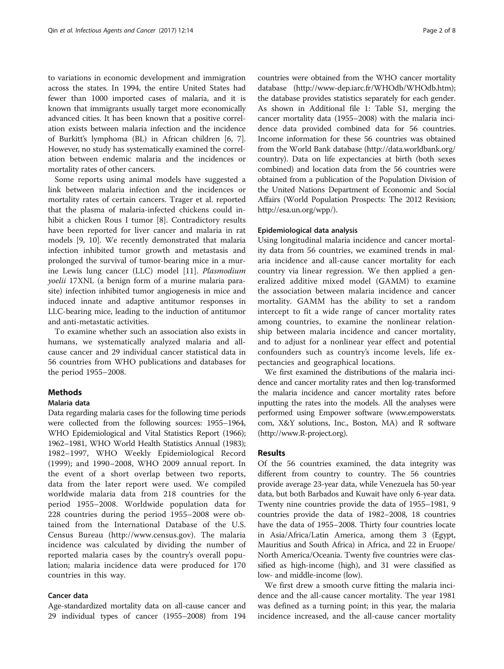to variations in economic development and immigration across the states. In 1994, the entire United States had fewer than 1000 imported cases of malaria, and it is known that immigrants usually target more economically advanced cities. It has been known that a positive correlation exists between malaria infection and the incidence of Burkitt's lymphoma (BL) in African children [\[6](#page-7-0), [7](#page-7-0)]. However, no study has systematically examined the correlation between endemic malaria and the incidences or mortality rates of other cancers.

Some reports using animal models have suggested a link between malaria infection and the incidences or mortality rates of certain cancers. Trager et al. reported that the plasma of malaria-infected chickens could inhibit a chicken Rous I tumor [\[8](#page-7-0)]. Contradictory results have been reported for liver cancer and malaria in rat models [\[9](#page-7-0), [10\]](#page-7-0). We recently demonstrated that malaria infection inhibited tumor growth and metastasis and prolonged the survival of tumor-bearing mice in a murine Lewis lung cancer (LLC) model [\[11](#page-7-0)]. Plasmodium yoelii 17XNL (a benign form of a murine malaria parasite) infection inhibited tumor angiogenesis in mice and induced innate and adaptive antitumor responses in LLC-bearing mice, leading to the induction of antitumor and anti-metastatic activities.

To examine whether such an association also exists in humans, we systematically analyzed malaria and allcause cancer and 29 individual cancer statistical data in 56 countries from WHO publications and databases for the period 1955–2008.

## Methods

## Malaria data

Data regarding malaria cases for the following time periods were collected from the following sources: 1955–1964, WHO Epidemiological and Vital Statistics Report (1966); 1962–1981, WHO World Health Statistics Annual (1983); 1982–1997, WHO Weekly Epidemiological Record (1999); and 1990–2008, WHO 2009 annual report. In the event of a short overlap between two reports, data from the later report were used. We compiled worldwide malaria data from 218 countries for the period 1955–2008. Worldwide population data for 228 countries during the period 1955–2008 were obtained from the International Database of the U.S. Census Bureau [\(http://www.census.gov\)](http://www.census.gov). The malaria incidence was calculated by dividing the number of reported malaria cases by the country's overall population; malaria incidence data were produced for 170 countries in this way.

## Cancer data

Age-standardized mortality data on all-cause cancer and 29 individual types of cancer (1955–2008) from 194

countries were obtained from the WHO cancer mortality database [\(http://www-dep.iarc.fr/WHOdb/WHOdb.htm](http://www-dep.iarc.fr/WHOdb/WHOdb.htm)); the database provides statistics separately for each gender. As shown in Additional file [1:](#page-6-0) Table S1, merging the cancer mortality data (1955–2008) with the malaria incidence data provided combined data for 56 countries. Income information for these 56 countries was obtained from the World Bank database ([http://data.worldbank.org/](http://data.worldbank.org/country) [country](http://data.worldbank.org/country)). Data on life expectancies at birth (both sexes combined) and location data from the 56 countries were obtained from a publication of the Population Division of the United Nations Department of Economic and Social Affairs (World Population Prospects: The 2012 Revision; [http://esa.un.org/wpp/\)](http://esa.un.org/wpp/).

### Epidemiological data analysis

Using longitudinal malaria incidence and cancer mortality data from 56 countries, we examined trends in malaria incidence and all-cause cancer mortality for each country via linear regression. We then applied a generalized additive mixed model (GAMM) to examine the association between malaria incidence and cancer mortality. GAMM has the ability to set a random intercept to fit a wide range of cancer mortality rates among countries, to examine the nonlinear relationship between malaria incidence and cancer mortality, and to adjust for a nonlinear year effect and potential confounders such as country's income levels, life expectancies and geographical locations.

We first examined the distributions of the malaria incidence and cancer mortality rates and then log-transformed the malaria incidence and cancer mortality rates before inputting the rates into the models. All the analyses were performed using Empower software [\(www.empowerstats.](http://www.empowerstats.com) [com,](http://www.empowerstats.com) X&Y solutions, Inc., Boston, MA) and R software ([http://www.R-project.org\)](http://www.R-project.org).

## Results

Of the 56 countries examined, the data integrity was different from country to country. The 56 countries provide average 23-year data, while Venezuela has 50-year data, but both Barbados and Kuwait have only 6-year data. Twenty nine countries provide the data of 1955–1981, 9 countries provide the data of 1982–2008, 18 countries have the data of 1955–2008. Thirty four countries locate in Asia/Africa/Latin America, among them 3 (Egypt, Mauritius and South Africa) in Africa, and 22 in Eruope/ North America/Oceania. Twenty five countries were classified as high-income (high), and 31 were classified as low- and middle-income (low).

We first drew a smooth curve fitting the malaria incidence and the all-cause cancer mortality. The year 1981 was defined as a turning point; in this year, the malaria incidence increased, and the all-cause cancer mortality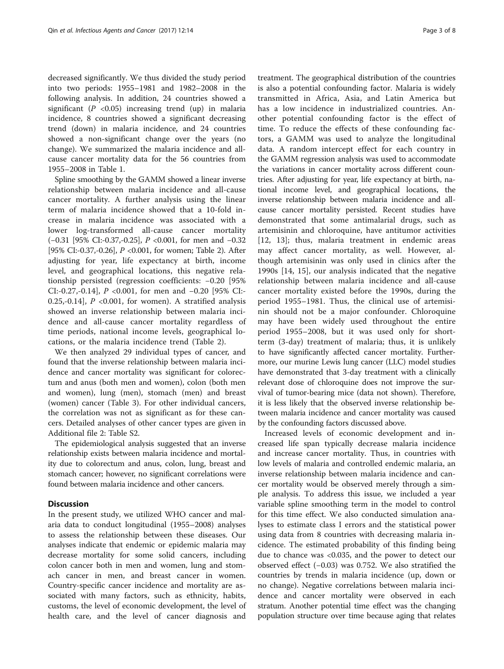decreased significantly. We thus divided the study period into two periods: 1955–1981 and 1982–2008 in the following analysis. In addition, 24 countries showed a significant  $(P \le 0.05)$  increasing trend (up) in malaria incidence, 8 countries showed a significant decreasing trend (down) in malaria incidence, and 24 countries showed a non-significant change over the years (no change). We summarized the malaria incidence and allcause cancer mortality data for the 56 countries from 1955–2008 in Table [1.](#page-3-0)

Spline smoothing by the GAMM showed a linear inverse relationship between malaria incidence and all-cause cancer mortality. A further analysis using the linear term of malaria incidence showed that a 10-fold increase in malaria incidence was associated with a lower log-transformed all-cause cancer mortality (−0.31 [95% CI:-0.37,-0.25], P <0.001, for men and −0.32 [95% CI:-0.37,-0.26], P <0.001, for women; Table [2](#page-4-0)). After adjusting for year, life expectancy at birth, income level, and geographical locations, this negative relationship persisted (regression coefficients: −0.20 [95% CI:-0.27,-0.14], P <0.001, for men and −0.20 [95% CI:- 0.25,-0.14],  $P \le 0.001$ , for women). A stratified analysis showed an inverse relationship between malaria incidence and all-cause cancer mortality regardless of time periods, national income levels, geographical locations, or the malaria incidence trend (Table [2\)](#page-4-0).

We then analyzed 29 individual types of cancer, and found that the inverse relationship between malaria incidence and cancer mortality was significant for colorectum and anus (both men and women), colon (both men and women), lung (men), stomach (men) and breast (women) cancer (Table [3](#page-5-0)). For other individual cancers, the correlation was not as significant as for these cancers. Detailed analyses of other cancer types are given in Additional file [2:](#page-6-0) Table S2.

The epidemiological analysis suggested that an inverse relationship exists between malaria incidence and mortality due to colorectum and anus, colon, lung, breast and stomach cancer; however, no significant correlations were found between malaria incidence and other cancers.

## **Discussion**

In the present study, we utilized WHO cancer and malaria data to conduct longitudinal (1955–2008) analyses to assess the relationship between these diseases. Our analyses indicate that endemic or epidemic malaria may decrease mortality for some solid cancers, including colon cancer both in men and women, lung and stomach cancer in men, and breast cancer in women. Country-specific cancer incidence and mortality are associated with many factors, such as ethnicity, habits, customs, the level of economic development, the level of health care, and the level of cancer diagnosis and

treatment. The geographical distribution of the countries is also a potential confounding factor. Malaria is widely transmitted in Africa, Asia, and Latin America but has a low incidence in industrialized countries. Another potential confounding factor is the effect of time. To reduce the effects of these confounding factors, a GAMM was used to analyze the longitudinal data. A random intercept effect for each country in the GAMM regression analysis was used to accommodate the variations in cancer mortality across different countries. After adjusting for year, life expectancy at birth, national income level, and geographical locations, the inverse relationship between malaria incidence and allcause cancer mortality persisted. Recent studies have demonstrated that some antimalarial drugs, such as artemisinin and chloroquine, have antitumor activities [[12, 13\]](#page-7-0); thus, malaria treatment in endemic areas may affect cancer mortality, as well. However, although artemisinin was only used in clinics after the 1990s [[14, 15\]](#page-7-0), our analysis indicated that the negative relationship between malaria incidence and all-cause cancer mortality existed before the 1990s, during the period 1955–1981. Thus, the clinical use of artemisinin should not be a major confounder. Chloroquine may have been widely used throughout the entire period 1955–2008, but it was used only for shortterm (3-day) treatment of malaria; thus, it is unlikely to have significantly affected cancer mortality. Furthermore, our murine Lewis lung cancer (LLC) model studies have demonstrated that 3-day treatment with a clinically relevant dose of chloroquine does not improve the survival of tumor-bearing mice (data not shown). Therefore, it is less likely that the observed inverse relationship between malaria incidence and cancer mortality was caused by the confounding factors discussed above.

Increased levels of economic development and increased life span typically decrease malaria incidence and increase cancer mortality. Thus, in countries with low levels of malaria and controlled endemic malaria, an inverse relationship between malaria incidence and cancer mortality would be observed merely through a simple analysis. To address this issue, we included a year variable spline smoothing term in the model to control for this time effect. We also conducted simulation analyses to estimate class I errors and the statistical power using data from 8 countries with decreasing malaria incidence. The estimated probability of this finding being due to chance was <0.035, and the power to detect our observed effect (−0.03) was 0.752. We also stratified the countries by trends in malaria incidence (up, down or no change). Negative correlations between malaria incidence and cancer mortality were observed in each stratum. Another potential time effect was the changing population structure over time because aging that relates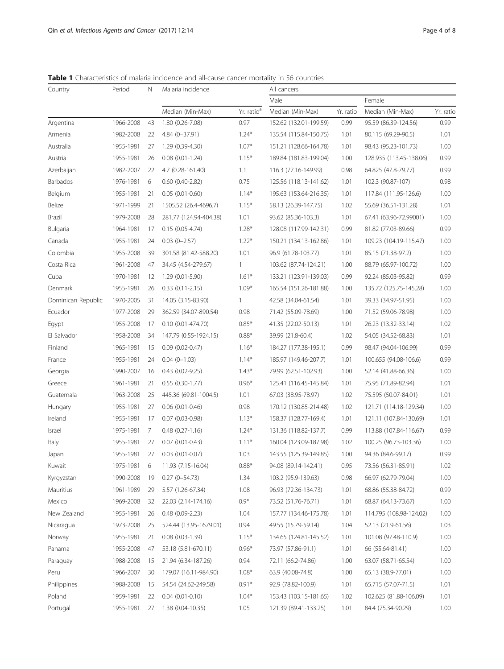<span id="page-3-0"></span>

| <b>Table 1</b> Characteristics of malaria incidence and all-cause cancer mortality in 56 countries |  |
|----------------------------------------------------------------------------------------------------|--|
|----------------------------------------------------------------------------------------------------|--|

| Country            | Period    | N  | Malaria incidence      |                        | All cancers            |           |                         |           |
|--------------------|-----------|----|------------------------|------------------------|------------------------|-----------|-------------------------|-----------|
|                    |           |    |                        |                        | Male<br>Female         |           |                         |           |
|                    |           |    | Median (Min-Max)       | Yr. ratio <sup>a</sup> | Median (Min-Max)       | Yr. ratio | Median (Min-Max)        | Yr. ratio |
| Argentina          | 1966-2008 | 43 | 1.80 (0.26-7.08)       | 0.97                   | 152.62 (132.01-199.59) | 0.99      | 95.59 (86.39-124.56)    | 0.99      |
| Armenia            | 1982-2008 | 22 | 4.84 (0-37.91)         | $1.24*$                | 135.54 (115.84-150.75) | 1.01      | 80.115 (69.29-90.5)     | 1.01      |
| Australia          | 1955-1981 | 27 | 1.29 (0.39-4.30)       | $1.07*$                | 151.21 (128.66-164.78) | 1.01      | 98.43 (95.23-101.73)    | 1.00      |
| Austria            | 1955-1981 | 26 | $0.08$ $(0.01 - 1.24)$ | $1.15*$                | 189.84 (181.83-199.04) | 1.00      | 128.935 (113.45-138.06) | 0.99      |
| Azerbaijan         | 1982-2007 | 22 | 4.7 (0.28-161.40)      | 1.1                    | 116.3 (77.16-149.99)   | 0.98      | 64.825 (47.8-79.77)     | 0.99      |
| Barbados           | 1976-1981 | 6  | $0.60$ $(0.40 - 2.82)$ | 0.75                   | 125.56 (118.13-141.62) | 1.01      | 102.3 (90.87-107)       | 0.98      |
| Belgium            | 1955-1981 | 21 | $0.05(0.01 - 0.60)$    | $1.14*$                | 195.63 (153.64-216.35) | 1.01      | 117.84 (111.95-126.6)   | 1.00      |
| Belize             | 1971-1999 | 21 | 1505.52 (26.4-4696.7)  | $1.15*$                | 58.13 (26.39-147.75)   | 1.02      | 55.69 (36.51-131.28)    | 1.01      |
| Brazil             | 1979-2008 | 28 | 281.77 (124.94-404.38) | 1.01                   | 93.62 (85.36-103.3)    | 1.01      | 67.41 (63.96-72.99001)  | 1.00      |
| Bulgaria           | 1964-1981 | 17 | $0.15(0.05 - 4.74)$    | $1.28*$                | 128.08 (117.99-142.31) | 0.99      | 81.82 (77.03-89.66)     | 0.99      |
| Canada             | 1955-1981 | 24 | $0.03(0 - 2.57)$       | $1.22*$                | 150.21 (134.13-162.86) | 1.01      | 109.23 (104.19-115.47)  | 1.00      |
| Colombia           | 1955-2008 | 39 | 301.58 (81.42-588.20)  | 1.01                   | 96.9 (61.78-103.77)    | 1.01      | 85.15 (71.38-97.2)      | 1.00      |
| Costa Rica         | 1961-2008 | 47 | 34.45 (4.54-279.67)    | 1                      | 103.62 (87.74-124.21)  | 1.00      | 88.79 (65.97-100.72)    | 1.00      |
| Cuba               | 1970-1981 | 12 | 1.29 (0.01-5.90)       | $1.61*$                | 133.21 (123.91-139.03) | 0.99      | 92.24 (85.03-95.82)     | 0.99      |
| Denmark            | 1955-1981 | 26 | $0.33$ $(0.11 - 2.15)$ | $1.09*$                | 165.54 (151.26-181.88) | 1.00      | 135.72 (125.75-145.28)  | 1.00      |
| Dominican Republic | 1970-2005 | 31 | 14.05 (3.15-83.90)     | $\mathbf{1}$           | 42.58 (34.04-61.54)    | 1.01      | 39.33 (34.97-51.95)     | 1.00      |
| Ecuador            | 1977-2008 | 29 | 362.59 (34.07-890.54)  | 0.98                   | 71.42 (55.09-78.69)    | 1.00      | 71.52 (59.06-78.98)     | 1.00      |
| Egypt              | 1955-2008 | 17 | $0.10(0.01 - 474.70)$  | $0.85*$                | 41.35 (22.02-50.13)    | 1.01      | 26.23 (13.32-33.14)     | 1.02      |
| El Salvador        | 1958-2008 | 34 | 147.79 (0.55-1924.15)  | $0.88*$                | 39.99 (21.8-60.4)      | 1.02      | 54.05 (34.52-68.83)     | 1.01      |
| Finland            | 1965-1981 | 15 | $0.09(0.02 - 0.47)$    | $1.16*$                | 184.27 (177.38-195.1)  | 0.99      | 98.47 (94.04-106.99)    | 0.99      |
| France             | 1955-1981 | 24 | $0.04(0-1.03)$         | $1.14*$                | 185.97 (149.46-207.7)  | 1.01      | 100.655 (94.08-106.6)   | 0.99      |
| Georgia            | 1990-2007 | 16 | $0.43$ $(0.02 - 9.25)$ | $1.43*$                | 79.99 (62.51-102.93)   | 1.00      | 52.14 (41.88-66.36)     | 1.00      |
| Greece             | 1961-1981 | 21 | $0.55(0.30-1.77)$      | $0.96*$                | 125.41 (116.45-145.84) | 1.01      | 75.95 (71.89-82.94)     | 1.01      |
| Guatemala          | 1963-2008 | 25 | 445.36 (69.81-1004.5)  | 1.01                   | 67.03 (38.95-78.97)    | 1.02      | 75.595 (50.07-84.01)    | 1.01      |
| Hungary            | 1955-1981 | 27 | $0.06$ $(0.01 - 0.46)$ | 0.98                   | 170.12 (130.85-214.48) | 1.02      | 121.71 (114.18-129.34)  | 1.00      |
| Ireland            | 1955-1981 | 17 | $0.07(0.03 - 0.98)$    | $1.13*$                | 158.37 (128.77-169.4)  | 1.01      | 121.11 (107.84-130.69)  | 1.01      |
| Israel             | 1975-1981 | 7  | $0.48$ $(0.27 - 1.16)$ | $1.24*$                | 131.36 (118.82-137.7)  | 0.99      | 113.88 (107.84-116.67)  | 0.99      |
| Italy              | 1955-1981 | 27 | $0.07(0.01 - 0.43)$    | $1.11*$                | 160.04 (123.09-187.98) | 1.02      | 100.25 (96.73-103.36)   | 1.00      |
| Japan              | 1955-1981 | 27 | $0.03$ $(0.01 - 0.07)$ | 1.03                   | 143.55 (125.39-149.85) | 1.00      | 94.36 (84.6-99.17)      | 0.99      |
| Kuwait             | 1975-1981 | 6  | 11.93 (7.15-16.04)     | $0.88*$                | 94.08 (89.14-142.41)   | 0.95      | 73.56 (56.31-85.91)     | 1.02      |
| Kyrgyzstan         | 1990-2008 | 19 | $0.27(0-54.73)$        | 1.34                   | 103.2 (95.9-139.63)    | 0.98      | 66.97 (62.79-79.04)     | 1.00      |
| Mauritius          | 1961-1989 | 29 | 5.57 (1.26-67.34)      | 1.08                   | 96.93 (72.36-134.73)   | 1.01      | 68.86 (55.38-84.72)     | 0.99      |
| Mexico             | 1969-2008 | 32 | 22.03 (2.14-174.16)    | $0.9*$                 | 73.52 (51.76-76.71)    | 1.01      | 68.87 (64.13-73.67)     | 1.00      |
| New Zealand        | 1955-1981 | 26 | $0.48(0.09-2.23)$      | 1.04                   | 157.77 (134.46-175.78) | 1.01      | 114.795 (108.98-124.02) | 1.00      |
| Nicaragua          | 1973-2008 | 25 | 524.44 (13.95-1679.01) | 0.94                   | 49.55 (15.79-59.14)    | 1.04      | 52.13 (21.9-61.56)      | 1.03      |
| Norway             | 1955-1981 | 21 | $0.08$ $(0.03 - 1.39)$ | $1.15*$                | 134.65 (124.81-145.52) | 1.01      | 101.08 (97.48-110.9)    | 1.00      |
| Panama             | 1955-2008 | 47 | 53.18 (5.81-670.11)    | $0.96*$                | 73.97 (57.86-91.1)     | 1.01      | 66 (55.64-81.41)        | 1.00      |
| Paraguay           | 1988-2008 | 15 | 21.94 (6.34-187.26)    | 0.94                   | 72.11 (66.2-74.86)     | 1.00      | 63.07 (58.71-65.54)     | 1.00      |
| Peru               | 1966-2007 | 30 | 179.07 (16.11-984.90)  | $1.08*$                | 63.9 (40.08-74.8)      | 1.00      | 65.13 (38.9-77.01)      | 1.00      |
| Philippines        | 1988-2008 | 15 | 54.54 (24.62-249.58)   | $0.91*$                | 92.9 (78.82-100.9)     | 1.01      | 65.715 (57.07-71.5)     | 1.01      |
| Poland             | 1959-1981 | 22 | $0.04$ $(0.01 - 0.10)$ | $1.04*$                | 153.43 (103.15-181.65) | 1.02      | 102.625 (81.88-106.09)  | 1.01      |
| Portugal           | 1955-1981 | 27 | 1.38 (0.04-10.35)      | 1.05                   | 121.39 (89.41-133.25)  | 1.01      | 84.4 (75.34-90.29)      | 1.00      |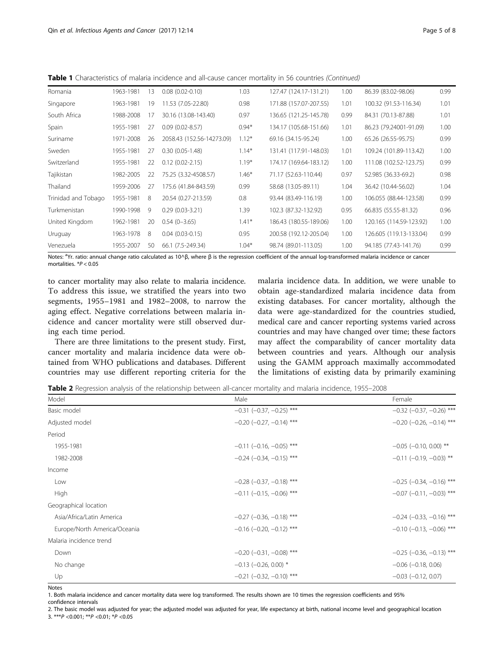<span id="page-4-0"></span>Table 1 Characteristics of malaria incidence and all-cause cancer mortality in 56 countries (Continued)

| Romania             | 1963-1981 | 13 | $0.08(0.02 - 0.10)$       | 1.03    | 127.47 (124.17-131.21) | 1.00 | 86.39 (83.02-98.06)     | 0.99 |
|---------------------|-----------|----|---------------------------|---------|------------------------|------|-------------------------|------|
| Singapore           | 1963-1981 | 19 | 11.53 (7.05-22.80)        | 0.98    | 171.88 (157.07-207.55) | 1.01 | 100.32 (91.53-116.34)   | 1.01 |
| South Africa        | 1988-2008 | 17 | 30.16 (13.08-143.40)      | 0.97    | 136.65 (121.25-145.78) | 0.99 | 84.31 (70.13-87.88)     | 1.01 |
| Spain               | 1955-1981 | 27 | $0.09(0.02 - 8.57)$       | $0.94*$ | 134.17 (105.68-151.66) | 1.01 | 86.23 (79.24001-91.09)  | 1.00 |
| Suriname            | 1971-2008 | 26 | 2058.43 (152.56-14273.09) | $1.12*$ | 69.16 (34.15-95.24)    | 1.00 | 65.26 (26.55-95.75)     | 0.99 |
| Sweden              | 1955-1981 | 27 | $0.30(0.05-1.48)$         | $1.14*$ | 131.41 (117.91-148.03) | 1.01 | 109.24 (101.89-113.42)  | 1.00 |
| Switzerland         | 1955-1981 | 22 | $0.12(0.02 - 2.15)$       | $1.19*$ | 174.17 (169.64-183.12) | 1.00 | 111.08 (102.52-123.75)  | 0.99 |
| Tajikistan          | 1982-2005 | 22 | 75.25 (3.32-4508.57)      | $1.46*$ | 71.17 (52.63-110.44)   | 0.97 | 52.985 (36.33-69.2)     | 0.98 |
| Thailand            | 1959-2006 | 27 | 175.6 (41.84-843.59)      | 0.99    | 58.68 (13.05-89.11)    | 1.04 | 36.42 (10.44-56.02)     | 1.04 |
| Trinidad and Tobago | 1955-1981 | 8  | 20.54 (0.27-213.59)       | 0.8     | 93.44 (83.49-116.19)   | 1.00 | 106.055 (88.44-123.58)  | 0.99 |
| Turkmenistan        | 1990-1998 | 9  | $0.29(0.03 - 3.21)$       | 1.39    | 102.3 (87.32-132.92)   | 0.95 | 66.835 (55.55-81.32)    | 0.96 |
| United Kingdom      | 1962-1981 | 20 | $0.54(0-3.65)$            | $1.41*$ | 186.43 (180.55-189.06) | 1.00 | 120.165 (114.59-123.92) | 1.00 |
| Uruguay             | 1963-1978 | 8  | $0.04(0.03-0.15)$         | 0.95    | 200.58 (192.12-205.04) | 1.00 | 126.605 (119.13-133.04) | 0.99 |
| Venezuela           | 1955-2007 | 50 | 66.1 (7.5-249.34)         | $1.04*$ | 98.74 (89.01-113.05)   | 1.00 | 94.185 (77.43-141.76)   | 0.99 |

Notes: <sup>a</sup>Yr. ratio: annual change ratio calculated as 10^β, where β is the regression coefficient of the annual log-transformed malaria incidence or cancer mortalities.  $*P < 0.05$ 

to cancer mortality may also relate to malaria incidence. To address this issue, we stratified the years into two segments, 1955–1981 and 1982–2008, to narrow the aging effect. Negative correlations between malaria incidence and cancer mortality were still observed during each time period.

There are three limitations to the present study. First, cancer mortality and malaria incidence data were obtained from WHO publications and databases. Different countries may use different reporting criteria for the malaria incidence data. In addition, we were unable to obtain age-standardized malaria incidence data from existing databases. For cancer mortality, although the data were age-standardized for the countries studied, medical care and cancer reporting systems varied across countries and may have changed over time; these factors may affect the comparability of cancer mortality data between countries and years. Although our analysis using the GAMM approach maximally accommodated the limitations of existing data by primarily examining

Table 2 Regression analysis of the relationship between all-cancer mortality and malaria incidence, 1955–2008

| Model                        | Male                              | Female                            |
|------------------------------|-----------------------------------|-----------------------------------|
| Basic model                  | $-0.31$ ( $-0.37$ , $-0.25$ ) *** | $-0.32$ (-0.37, -0.26) ***        |
| Adjusted model               | $-0.20$ ( $-0.27$ , $-0.14$ ) *** | $-0.20$ ( $-0.26$ , $-0.14$ ) *** |
| Period                       |                                   |                                   |
| 1955-1981                    | $-0.11$ ( $-0.16$ , $-0.05$ ) *** | $-0.05$ ( $-0.10$ , 0.00) **      |
| 1982-2008                    | $-0.24$ ( $-0.34$ , $-0.15$ ) *** | $-0.11$ ( $-0.19$ , $-0.03$ ) **  |
| Income                       |                                   |                                   |
| Low                          | $-0.28$ ( $-0.37$ , $-0.18$ ) *** | $-0.25$ ( $-0.34$ , $-0.16$ ) *** |
| High                         | $-0.11$ ( $-0.15$ , $-0.06$ ) *** | $-0.07$ (-0.11, -0.03) ***        |
| Geographical location        |                                   |                                   |
| Asia/Africa/Latin America    | $-0.27$ ( $-0.36$ , $-0.18$ ) *** | $-0.24$ ( $-0.33$ , $-0.16$ ) *** |
| Europe/North America/Oceania | $-0.16$ ( $-0.20$ , $-0.12$ ) *** | $-0.10$ ( $-0.13$ , $-0.06$ ) *** |
| Malaria incidence trend      |                                   |                                   |
| Down                         | $-0.20$ ( $-0.31$ , $-0.08$ ) *** | $-0.25$ ( $-0.36$ , $-0.13$ ) *** |
| No change                    | $-0.13$ ( $-0.26$ , 0.00) *       | $-0.06$ $(-0.18, 0.06)$           |
| Up                           | $-0.21$ ( $-0.32$ , $-0.10$ ) *** | $-0.03$ $(-0.12, 0.07)$           |

Notes

1. Both malaria incidence and cancer mortality data were log transformed. The results shown are 10 times the regression coefficients and 95%

confidence intervals

2. The basic model was adjusted for year; the adjusted model was adjusted for year, life expectancy at birth, national income level and geographical location 3. \*\*\*P <0.001; \*\*P <0.01; \*P <0.05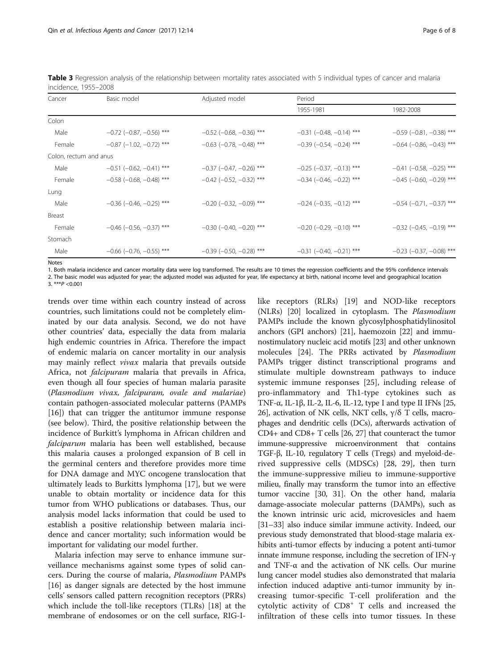| Cancer                 | Basic model                       | Adjusted model                    | Period                            |                                   |  |  |
|------------------------|-----------------------------------|-----------------------------------|-----------------------------------|-----------------------------------|--|--|
|                        |                                   |                                   | 1955-1981                         | 1982-2008                         |  |  |
| Colon                  |                                   |                                   |                                   |                                   |  |  |
| Male                   | $-0.72$ (-0.87, -0.56) ***        | $-0.52$ ( $-0.68$ , $-0.36$ ) *** | $-0.31$ ( $-0.48$ , $-0.14$ ) *** | $-0.59$ ( $-0.81$ , $-0.38$ ) *** |  |  |
| Female                 | $-0.87$ (-1.02, -0.72) ***        | $-0.63$ (-0.78, -0.48) ***        | $-0.39$ ( $-0.54$ , $-0.24$ ) *** | $-0.64$ (-0.86, -0.43) ***        |  |  |
| Colon, rectum and anus |                                   |                                   |                                   |                                   |  |  |
| Male                   | $-0.51$ ( $-0.62$ , $-0.41$ ) *** | $-0.37$ ( $-0.47$ , $-0.26$ ) *** | $-0.25$ ( $-0.37$ , $-0.13$ ) *** | $-0.41$ ( $-0.58$ , $-0.25$ ) *** |  |  |
| Female                 | $-0.58$ ( $-0.68$ , $-0.48$ ) *** | $-0.42$ ( $-0.52$ , $-0.32$ ) *** | $-0.34$ ( $-0.46$ , $-0.22$ ) *** | $-0.45$ ( $-0.60$ , $-0.29$ ) *** |  |  |
| Lung                   |                                   |                                   |                                   |                                   |  |  |
| Male                   | $-0.36$ ( $-0.46$ , $-0.25$ ) *** | $-0.20$ ( $-0.32$ , $-0.09$ ) *** | $-0.24$ ( $-0.35$ , $-0.12$ ) *** | $-0.54$ ( $-0.71$ , $-0.37$ ) *** |  |  |
| Breast                 |                                   |                                   |                                   |                                   |  |  |
| Female                 | $-0.46$ ( $-0.56$ , $-0.37$ ) *** | $-0.30$ ( $-0.40$ , $-0.20$ ) *** | $-0.20$ ( $-0.29$ , $-0.10$ ) *** | $-0.32$ ( $-0.45$ , $-0.19$ ) *** |  |  |
| Stomach                |                                   |                                   |                                   |                                   |  |  |
| Male                   | $-0.66$ ( $-0.76$ , $-0.55$ ) *** | $-0.39$ ( $-0.50$ , $-0.28$ ) *** | $-0.31$ ( $-0.40$ , $-0.21$ ) *** | $-0.23$ ( $-0.37$ , $-0.08$ ) *** |  |  |

<span id="page-5-0"></span>Table 3 Regression analysis of the relationship between mortality rates associated with 5 individual types of cancer and malaria incidence, 1955–2008

Notes

1. Both malaria incidence and cancer mortality data were log transformed. The results are 10 times the regression coefficients and the 95% confidence intervals

2. The basic model was adjusted for year; the adjusted model was adjusted for year, life expectancy at birth, national income level and geographical location  $3.***P < 0.001$ 

trends over time within each country instead of across countries, such limitations could not be completely eliminated by our data analysis. Second, we do not have other countries' data, especially the data from malaria high endemic countries in Africa. Therefore the impact of endemic malaria on cancer mortality in our analysis may mainly reflect vivax malaria that prevails outside Africa, not falcipuram malaria that prevails in Africa, even though all four species of human malaria parasite (Plasmodium vivax, falcipuram, ovale and malariae) contain pathogen-associated molecular patterns (PAMPs [[16\]](#page-7-0)) that can trigger the antitumor immune response (see below). Third, the positive relationship between the incidence of Burkitt's lymphoma in African children and falciparum malaria has been well established, because this malaria causes a prolonged expansion of B cell in the germinal centers and therefore provides more time for DNA damage and MYC oncogene translocation that ultimately leads to Burkitts lymphoma [\[17](#page-7-0)], but we were unable to obtain mortality or incidence data for this tumor from WHO publications or databases. Thus, our analysis model lacks information that could be used to establish a positive relationship between malaria incidence and cancer mortality; such information would be important for validating our model further.

Malaria infection may serve to enhance immune surveillance mechanisms against some types of solid cancers. During the course of malaria, Plasmodium PAMPs [[16\]](#page-7-0) as danger signals are detected by the host immune cells' sensors called pattern recognition receptors (PRRs) which include the toll-like receptors (TLRs) [\[18\]](#page-7-0) at the membrane of endosomes or on the cell surface, RIG-I- like receptors (RLRs) [\[19](#page-7-0)] and NOD-like receptors (NLRs) [[20\]](#page-7-0) localized in cytoplasm. The Plasmodium PAMPs include the known glycosylphosphatidylinositol anchors (GPI anchors) [\[21\]](#page-7-0), haemozoin [\[22\]](#page-7-0) and immunostimulatory nucleic acid motifs [[23\]](#page-7-0) and other unknown molecules [\[24\]](#page-7-0). The PRRs activated by Plasmodium PAMPs trigger distinct transcriptional programs and stimulate multiple downstream pathways to induce systemic immune responses [[25\]](#page-7-0), including release of pro-inflammatory and Th1-type cytokines such as TNF-α, IL-1β, IL-2, IL-6, IL-12, type I and type II IFNs [\[25](#page-7-0), [26](#page-7-0)], activation of NK cells, NKT cells,  $γ/δ$  T cells, macrophages and dendritic cells (DCs), afterwards activation of CD4+ and CD8+ T cells [\[26, 27\]](#page-7-0) that counteract the tumor immune-suppressive microenvironment that contains TGF-β, IL-10, regulatory T cells (Tregs) and myeloid-derived suppressive cells (MDSCs) [[28, 29\]](#page-7-0), then turn the immune-suppressive milieu to immune-supportive milieu, finally may transform the tumor into an effective tumor vaccine [\[30](#page-7-0), [31](#page-7-0)]. On the other hand, malaria damage-associate molecular patterns (DAMPs), such as the known intrinsic uric acid, microvesicles and haem [[31](#page-7-0)–[33\]](#page-7-0) also induce similar immune activity. Indeed, our previous study demonstrated that blood-stage malaria exhibits anti-tumor effects by inducing a potent anti-tumor innate immune response, including the secretion of IFN-γ and TNF-α and the activation of NK cells. Our murine lung cancer model studies also demonstrated that malaria infection induced adaptive anti-tumor immunity by increasing tumor-specific T-cell proliferation and the cytolytic activity of  $CD8<sup>+</sup>$  T cells and increased the infiltration of these cells into tumor tissues. In these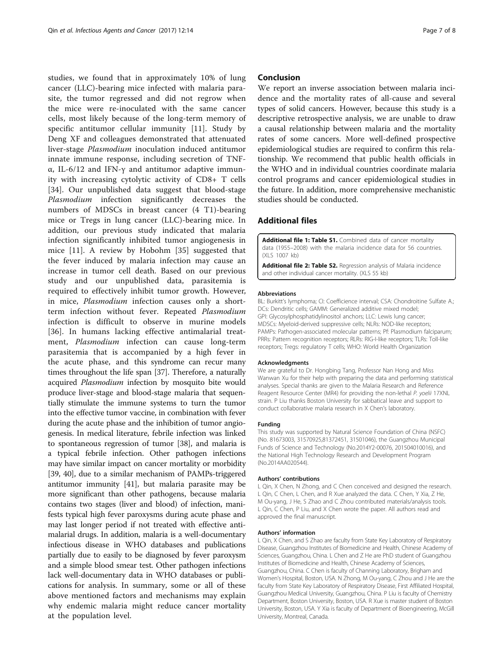<span id="page-6-0"></span>studies, we found that in approximately 10% of lung cancer (LLC)-bearing mice infected with malaria parasite, the tumor regressed and did not regrow when the mice were re-inoculated with the same cancer cells, most likely because of the long-term memory of specific antitumor cellular immunity [\[11](#page-7-0)]. Study by Deng XF and colleagues demonstrated that attenuated liver-stage Plasmodium inoculation induced antitumor innate immune response, including secretion of TNFα, IL-6/12 and IFN-γ and antitumor adaptive immunity with increasing cytolytic activity of CD8+ T cells [[34\]](#page-7-0). Our unpublished data suggest that blood-stage Plasmodium infection significantly decreases the numbers of MDSCs in breast cancer (4 T1)-bearing mice or Tregs in lung cancer (LLC)-bearing mice. In addition, our previous study indicated that malaria infection significantly inhibited tumor angiogenesis in mice [[11\]](#page-7-0). A review by Hobohm [\[35](#page-7-0)] suggested that the fever induced by malaria infection may cause an increase in tumor cell death. Based on our previous study and our unpublished data, parasitemia is required to effectively inhibit tumor growth. However, in mice, Plasmodium infection causes only a shortterm infection without fever. Repeated Plasmodium infection is difficult to observe in murine models [[36\]](#page-7-0). In humans lacking effective antimalarial treatment, Plasmodium infection can cause long-term parasitemia that is accompanied by a high fever in the acute phase, and this syndrome can recur many times throughout the life span [\[37\]](#page-7-0). Therefore, a naturally acquired Plasmodium infection by mosquito bite would produce liver-stage and blood-stage malaria that sequentially stimulate the immune systems to turn the tumor into the effective tumor vaccine, in combination with fever during the acute phase and the inhibition of tumor angiogenesis. In medical literature, febrile infection was linked to spontaneous regression of tumor [[38](#page-7-0)], and malaria is a typical febrile infection. Other pathogen infections may have similar impact on cancer mortality or morbidity [[39](#page-7-0), [40](#page-7-0)], due to a similar mechanism of PAMPs-triggered antitumor immunity [[41](#page-7-0)], but malaria parasite may be more significant than other pathogens, because malaria contains two stages (liver and blood) of infection, manifests typical high fever paroxysms during acute phase and may last longer period if not treated with effective antimalarial drugs. In addition, malaria is a well-documentary infectious disease in WHO databases and publications partially due to easily to be diagnosed by fever paroxysm and a simple blood smear test. Other pathogen infections lack well-documentary data in WHO databases or publications for analysis. In summary, some or all of these above mentioned factors and mechanisms may explain why endemic malaria might reduce cancer mortality at the population level.

## Conclusion

We report an inverse association between malaria incidence and the mortality rates of all-cause and several types of solid cancers. However, because this study is a descriptive retrospective analysis, we are unable to draw a causal relationship between malaria and the mortality rates of some cancers. More well-defined prospective epidemiological studies are required to confirm this relationship. We recommend that public health officials in the WHO and in individual countries coordinate malaria control programs and cancer epidemiological studies in the future. In addition, more comprehensive mechanistic studies should be conducted.

## Additional files

[Additional file 1: Table S1.](dx.doi.org/10.1186/s13027-017-0117-x) Combined data of cancer mortality data (1955–2008) with the malaria incidence data for 56 countries. (XLS 1007 kb)

[Additional file 2: Table S2.](dx.doi.org/10.1186/s13027-017-0117-x) Regression analysis of Malaria incidence and other individual cancer mortality. (XLS 55 kb)

#### **Abbreviations**

BL: Burkitt's lymphoma; CI: Coefficience interval; CSA: Chondroitine Sulfate A.; DCs: Dendritic cells; GAMM: Generalized additive mixed model; GPI: Glycosylphosphatidylinositol anchors; LLC: Lewis lung cancer; MDSCs: Myeloid-derived suppressive cells; NLRs: NOD-like receptors; PAMPs: Pathogen-associated molecular patterns; Pf: Plasmodium falciparum; PRRs: Pattern recognition receptors; RLRs: RIG-I-like receptors; TLRs: Toll-like receptors; Tregs: regulatory T cells; WHO: World Health Organization

#### Acknowledgments

We are grateful to Dr. Hongbing Tang, Professor Nan Hong and Miss Wanwan Xu for their help with preparing the data and performing statistical analyses. Special thanks are given to the Malaria Research and Reference Reagent Resource Center (MR4) for providing the non-lethal P. yoelii 17XNL strain. P Liu thanks Boston University for sabbatical leave and support to conduct collaborative malaria research in X Chen's laboratory.

#### Funding

This study was supported by Natural Science Foundation of China (NSFC) (No. 81673003, 31570925,81372451, 31501046), the Guangzhou Municipal Funds of Science and Technology (No.2014Y2-00076, 201504010016), and the National High Technology Research and Development Program (No.2014AA020544).

#### Authors' contributions

L Qin, X Chen, N Zhong, and C Chen conceived and designed the research. L Qin, C Chen, L Chen, and R Xue analyzed the data. C Chen, Y Xia, Z He, M Ou-yang, J He, S Zhao and C Zhou contributed materials/analysis tools. L Qin, C Chen, P Liu, and X Chen wrote the paper. All authors read and approved the final manuscript.

#### Authors' information

L Qin, X Chen, and S Zhao are faculty from State Key Laboratory of Respiratory Disease, Guangzhou Institutes of Biomedicine and Health, Chinese Academy of Sciences, Guangzhou, China. L Chen and Z He are PhD student of Guangzhou Institutes of Biomedicine and Health, Chinese Academy of Sciences, Guangzhou, China. C Chen is faculty of Channing Laboratory, Brigham and Women's Hospital, Boston, USA. N Zhong, M Ou-yang, C Zhou and J He are the faculty from State Key Laboratory of Respiratory Disease, First Affiliated Hospital, Guangzhou Medical University, Guangzhou, China. P Liu is faculty of Chemistry Department, Boston University, Boston, USA. R Xue is master student of Boston University, Boston, USA. Y Xia is faculty of Department of Bioengineering, McGill University, Montreal, Canada.